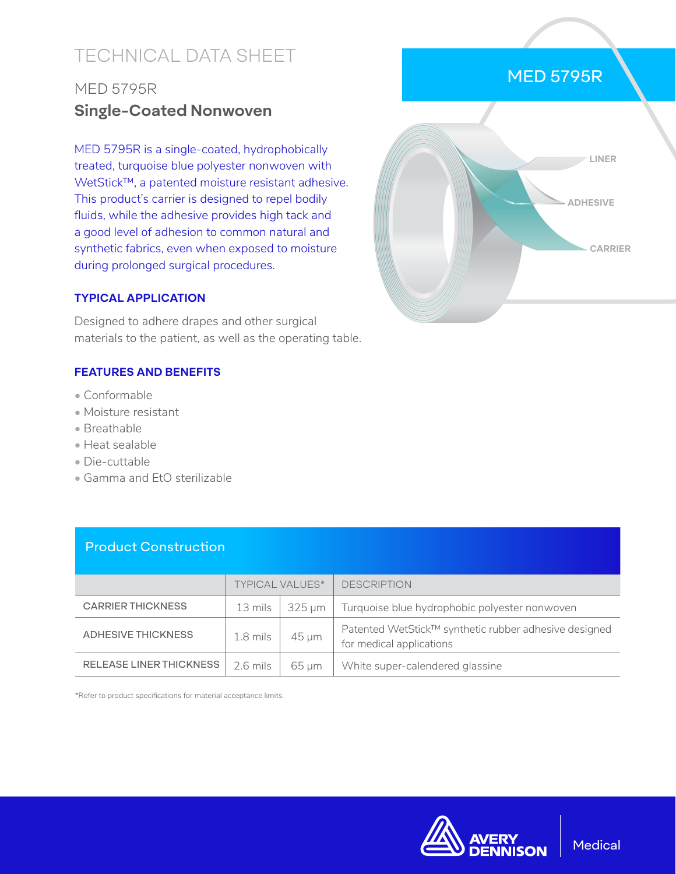# TECHNICAL DATA SHEET

## MED 5795R **Single-Coated Nonwoven**

MED 5795R is a single-coated, hydrophobically treated, turquoise blue polyester nonwoven with WetStick™, a patented moisture resistant adhesive. This product's carrier is designed to repel bodily fluids, while the adhesive provides high tack and a good level of adhesion to common natural and synthetic fabrics, even when exposed to moisture during prolonged surgical procedures.

#### **TYPICAL APPLICATION**

Designed to adhere drapes and other surgical materials to the patient, as well as the operating table.

## **FEATURES AND BENEFITS**

- Conformable
- Moisture resistant
- Breathable
- Heat sealable
- Die-cuttable
- Gamma and EtO sterilizable

Product Construction

|                                | <b>TYPICAL VALUES*</b> |            | <b>DESCRIPTION</b>                                                                |
|--------------------------------|------------------------|------------|-----------------------------------------------------------------------------------|
| <b>CARRIER THICKNESS</b>       | 13 mils                | 325 um     | Turquoise blue hydrophobic polyester nonwoven                                     |
| <b>ADHESIVE THICKNESS</b>      | $1.8$ mils             | $45 \mu m$ | Patented WetStick™ synthetic rubber adhesive designed<br>for medical applications |
| <b>RELEASE LINER THICKNESS</b> | 2.6 mils               | $65 \mu m$ | White super-calendered glassine                                                   |

\*Refer to product specifications for material acceptance limits.